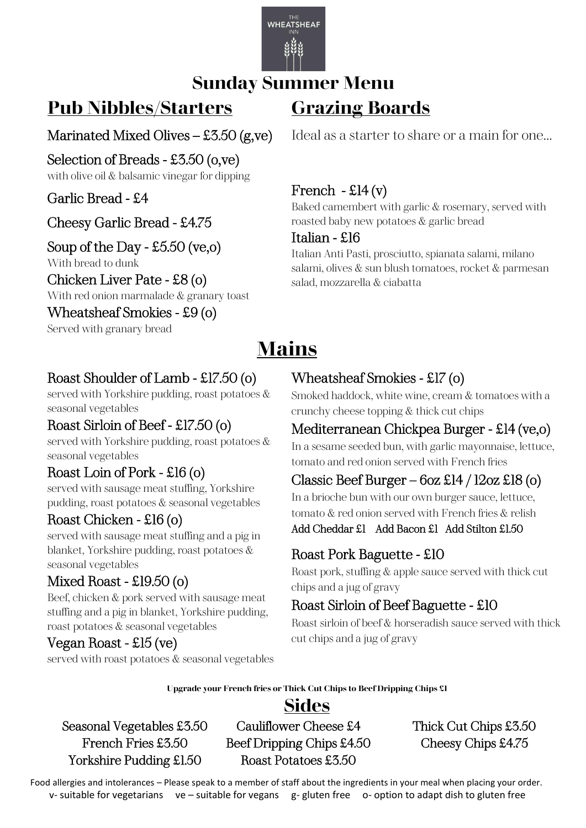

#### **Sunday Summer Menu**

## **Pub Nibbles/Starters**

#### Marinated Mixed Olives – £3.50 (g,ve) Î

Selection of Breads - £3.50 (o,ve) with olive oil & balsamic vinegar for dipping

Garlic Bread - £4 Ì

#### Cheesy Garlic Bread - £4.75

#### Soup of the Day - £5.50 (ve,o)

With bread to dunk

Chicken Liver Pate - £8 (o) With red onion marmalade & granary toast

Wheatsheaf Smokies - £9 (o) Served with granary bread

# **Mains**

#### Roast Shoulder of Lamb - £17.50 (o)

served with Yorkshire pudding, roast potatoes & seasonal vegetables

#### Roast Sirloin of Beef - £17.50 (o)

served with Yorkshire pudding, roast potatoes & seasonal vegetables

#### Roast Loin of Pork - £16 (o)

served with sausage meat stuffing, Yorkshire pudding, roast potatoes & seasonal vegetables

#### Roast Chicken - £16 (o)

served with sausage meat stuffing and a pig in blanket, Yorkshire pudding, roast potatoes & seasonal vegetables

#### Mixed Roast - £19.50 (o)

Beef, chicken & pork served with sausage meat stuffing and a pig in blanket, Yorkshire pudding, roast potatoes & seasonal vegetables

#### Vegan Roast - £15 (ve)

served with roast potatoes & seasonal vegetables

Ideal as a starter to share or a main for one…

#### French  $-$  £14 (v)

**Grazing Boards**

Baked camembert with garlic & rosemary, served with roasted baby new potatoes & garlic bread

#### Italian - £16

Italian Anti Pasti, prosciutto, spianata salami, milano salami, olives & sun blush tomatoes, rocket & parmesan salad, mozzarella & ciabatta

#### Wheatsheaf Smokies - £17 (o)

Smoked haddock, white wine, cream & tomatoes with a crunchy cheese topping & thick cut chips

#### Mediterranean Chickpea Burger - £14 (ve,o)

In a sesame seeded bun, with garlic mayonnaise, lettuce, tomato and red onion served with French fries

#### Classic Beef Burger –  $6$ oz £14 / 12oz £18 (o)

In a brioche bun with our own burger sauce, lettuce, tomato & red onion served with French fries & relish

#### Add Cheddar £1 Add Bacon £1 Add Stilton £1.50

#### Roast Pork Baguette - £10

Roast pork, stuffing & apple sauce served with thick cut chips and a jug of gravy

#### Roast Sirloin of Beef Baguette - £10

Roast sirloin of beef & horseradish sauce served with thick cut chips and a jug of gravy

**Upgrade your French fries or Thick Cut Chips to Beef Dripping Chips £1**

#### **Sides**

Yorkshire Pudding £1.50 Roast Potatoes £3.50

Seasonal Vegetables £3.50 Cauliflower Cheese £4 Thick Cut Chips £3.50 French Fries £3.50 Beef Dripping Chips £4.50 Cheesy Chips £4.75

 Food allergies and intolerances – Please speak to a member of staff about the ingredients in your meal when placing your order. v- suitable for vegetarians ve – suitable for vegans g- gluten free o- option to adapt dish to gluten free